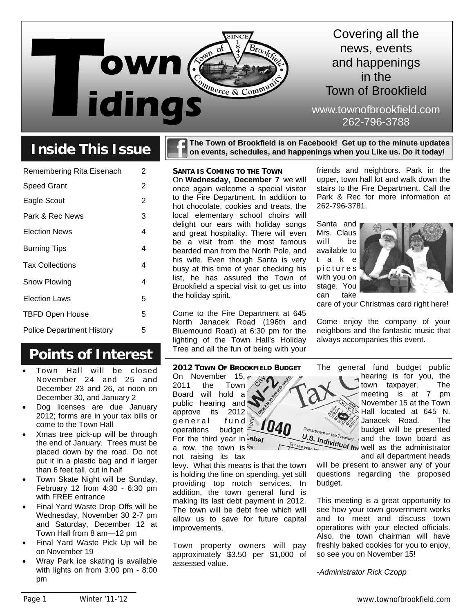

## **Inside This Issue**

| Remembering Rita Eisenach        | 2 |
|----------------------------------|---|
| <b>Speed Grant</b>               | 2 |
| Eagle Scout                      | 2 |
| Park & Rec News                  | 3 |
| <b>Election News</b>             | 4 |
| <b>Burning Tips</b>              | 4 |
| <b>Tax Collections</b>           | 4 |
| Snow Plowing                     | 4 |
| <b>Election Laws</b>             | 5 |
| <b>TBFD Open House</b>           | 5 |
| <b>Police Department History</b> | 5 |

### **Points of Interest**

- Town Hall will be closed November 24 and 25 and December 23 and 26, at noon on December 30, and January 2
- Dog licenses are due January 2012; forms are in your tax bills or come to the Town Hall
- Xmas tree pick-up will be through the end of January. Trees must be placed down by the road. Do not put it in a plastic bag and if larger than 6 feet tall, cut in half
- Town Skate Night will be Sunday, February 12 from 4:30 - 6:30 pm with FREE entrance
- Final Yard Waste Drop Offs will be Wednesday, November 30 2-7 pm and Saturday, December 12 at Town Hall from 8 am—12 pm
- Final Yard Waste Pick Up will be on November 19
- Wray Park ice skating is available with lights on from 3:00 pm - 8:00 pm

**The Town of Brookfield is on Facebook! Get up to the minute updates on events, schedules, and happenings when you Like us. Do it today!** 

**SANTA IS COMING TO THE TOWN** On **Wednesday, December 7** we will once again welcome a special visitor to the Fire Department. In addition to hot chocolate, cookies and treats, the local elementary school choirs will delight our ears with holiday songs and great hospitality. There will even be a visit from the most famous bearded man from the North Pole, and his wife. Even though Santa is very busy at this time of year checking his list, he has assured the Town of Brookfield a special visit to get us into the holiday spirit.

Come to the Fire Department at 645 North Janacek Road (196th and Bluemound Road) at 6:30 pm for the lighting of the Town Hall's Holiday Tree and all the fun of being with your

friends and neighbors. Park in the upper, town hall lot and walk down the stairs to the Fire Department. Call the Park & Rec for more information at 262-796-3781.

Santa and Mrs. Claus will be available to t a k e with you on can take



care of your Christmas card right here!

Come enjoy the company of your neighbors and the fantastic music that always accompanies this event.

**2012 TOWN OF BROOKFIELD BUDGET**

On November 15, e 2011 the Town Board will hold a public hearing and approve its 2012 general fund operations budget. For the third year in  $-$ abel a row, the town is  $ee$ 

not raising its tax

levy. What this means is that the town is holding the line on spending, yet still providing top notch services. In addition, the town general fund is making its last debt payment in 2012. The town will be debt free which will allow us to save for future capital improvements.

Town property owners will pay approximately \$3.50 per \$1,000 of assessed value.

The general fund budget public hearing is for you, the town taxpayer. The meeting is at 7 pm November 15 at the Town Hall located at 645 N. Janacek Road. The budget will be presented U.S. Individual Inc well as the administrator and the town board as the year Jay and all department heads

> will be present to answer any of your questions regarding the proposed budget.

This meeting is a great opportunity to see how your town government works and to meet and discuss town operations with your elected officials. Also, the town chairman will have freshly baked cookies for you to enjoy, so see you on November 15!

*-Administrator Rick Czopp* 

p i c t u r e s stage. You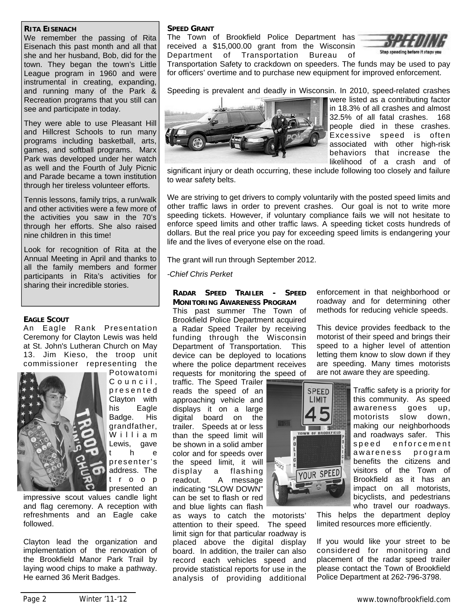#### **RITA EISENACH**

We remember the passing of Rita Eisenach this past month and all that she and her husband, Bob, did for the town. They began the town's Little League program in 1960 and were instrumental in creating, expanding, and running many of the Park & Recreation programs that you still can see and participate in today.

They were able to use Pleasant Hill and Hillcrest Schools to run many programs including basketball, arts, games, and softball programs. Marx Park was developed under her watch as well and the Fourth of July Picnic and Parade became a town institution through her tireless volunteer efforts.

Tennis lessons, family trips, a run/walk and other activities were a few more of the activities you saw in the 70's through her efforts. She also raised nine children in this time!

Look for recognition of Rita at the Annual Meeting in April and thanks to all the family members and former participants in Rita's activities for sharing their incredible stories.

#### **EAGLE SCOUT**

An Eagle Rank Presentation Ceremony for Clayton Lewis was held at St. John's Lutheran Church on May 13. Jim Kieso, the troop unit commissioner representing the



Potowatomi Council. p r e s e n t e d Clayton with his Eagle Badge. His grandfather, W illiam Lewis, gave t h e presenter's address. The t r o o p presented an

impressive scout values candle light and flag ceremony. A reception with refreshments and an Eagle cake followed.

Clayton lead the organization and implementation of the renovation of the Brookfield Manor Park Trail by laying wood chips to make a pathway. He earned 36 Merit Badges.

#### **SPEED GRANT**

The Town of Brookfield Police Department has received a \$15,000.00 grant from the Wisconsin Department of Transportation Bureau of



Transportation Safety to crackdown on speeders. The funds may be used to pay for officers' overtime and to purchase new equipment for improved enforcement.

Speeding is prevalent and deadly in Wisconsin. In 2010, speed-related crashes



were listed as a contributing factor in 18.3% of all crashes and almost 32.5% of all fatal crashes. 168 people died in these crashes. Excessive speed is often associated with other high-risk behaviors that increase the likelihood of a crash and of

significant injury or death occurring, these include following too closely and failure to wear safety belts.

We are striving to get drivers to comply voluntarily with the posted speed limits and other traffic laws in order to prevent crashes. Our goal is not to write more speeding tickets. However, if voluntary compliance fails we will not hesitate to enforce speed limits and other traffic laws. A speeding ticket costs hundreds of dollars. But the real price you pay for exceeding speed limits is endangering your life and the lives of everyone else on the road.

The grant will run through September 2012.

*-Chief Chris Perket*

#### **RADAR SPEED TRAILER - SPEED MONITORING AWARENESS PROGRAM**

This past summer The Town of Brookfield Police Department acquired a Radar Speed Trailer by receiving funding through the Wisconsin Department of Transportation. This device can be deployed to locations where the police department receives requests for monitoring the speed of

traffic. The Speed Trailer reads the speed of an approaching vehicle and displays it on a large digital board on the trailer. Speeds at or less than the speed limit will be shown in a solid amber color and for speeds over the speed limit, it will display a flashing readout. A message indicating "SLOW DOWN" can be set to flash or red and blue lights can flash

as ways to catch the motorists' attention to their speed. The speed limit sign for that particular roadway is placed above the digital display board. In addition, the trailer can also record each vehicles speed and provide statistical reports for use in the analysis of providing additional

enforcement in that neighborhood or roadway and for determining other methods for reducing vehicle speeds.

This device provides feedback to the motorist of their speed and brings their speed to a higher level of attention letting them know to slow down if they are speeding. Many times motorists are not aware they are speeding.



Traffic safety is a priority for this community. As speed awareness goes up, motorists slow down, making our neighborhoods and roadways safer. This speed enforcement awareness program benefits the citizens and visitors of the Town of Brookfield as it has an impact on all motorists, bicyclists, and pedestrians who travel our roadways.

This helps the department deploy limited resources more efficiently.

If you would like your street to be considered for monitoring and placement of the radar speed trailer please contact the Town of Brookfield Police Department at 262-796-3798.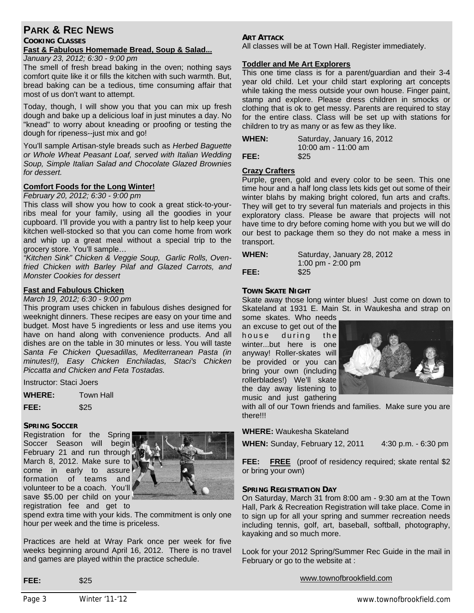#### **PARK & REC NEWS**

#### **COOKING CLASSES Fast & Fabulous Homemade Bread, Soup & Salad...**

*January 23, 2012; 6:30 - 9:00 pm* 

The smell of fresh bread baking in the oven; nothing says comfort quite like it or fills the kitchen with such warmth. But, bread baking can be a tedious, time consuming affair that most of us don't want to attempt.

Today, though, I will show you that you can mix up fresh dough and bake up a delicious loaf in just minutes a day. No "knead" to worry about kneading or proofing or testing the dough for ripeness--just mix and go!

You'll sample Artisan-style breads such as *Herbed Baguette or Whole Wheat Peasant Loaf, served with Italian Wedding Soup, Simple Italian Salad and Chocolate Glazed Brownies for dessert.* 

#### **Comfort Foods for the Long Winter!**

#### *February 20, 2012; 6:30 - 9:00 pm*

This class will show you how to cook a great stick-to-yourribs meal for your family, using all the goodies in your cupboard. I'll provide you with a pantry list to help keep your kitchen well-stocked so that you can come home from work and whip up a great meal without a special trip to the grocery store. You'll sample…

*"Kitchen Sink" Chicken & Veggie Soup, Garlic Rolls, Ovenfried Chicken with Barley Pilaf and Glazed Carrots, and Monster Cookies for dessert* 

#### **Fast and Fabulous Chicken**

#### *March 19, 2012; 6:30 - 9:00 pm*

This program uses chicken in fabulous dishes designed for weeknight dinners. These recipes are easy on your time and budget. Most have 5 ingredients or less and use items you have on hand along with convenience products. And all dishes are on the table in 30 minutes or less. You will taste *Santa Fe Chicken Quesadillas, Mediterranean Pasta (in minutes!!), Easy Chicken Enchiladas, Staci's Chicken Piccatta and Chicken and Feta Tostadas.* 

Instructor: Staci Joers

**WHERE:** Town Hall

**FEE:** \$25

#### **SPRING SOCCER**

Registration for the Spring Soccer Season will begin February 21 and run through March 8, 2012. Make sure to come in early to assure formation of teams and volunteer to be a coach. You'll save \$5.00 per child on your registration fee and get to



spend extra time with your kids. The commitment is only one hour per week and the time is priceless.

Practices are held at Wray Park once per week for five weeks beginning around April 16, 2012. There is no travel and games are played within the practice schedule.

#### **ART ATTACK**

All classes will be at Town Hall. Register immediately.

#### **Toddler and Me Art Explorers**

This one time class is for a parent/guardian and their 3-4 year old child. Let your child start exploring art concepts while taking the mess outside your own house. Finger paint, stamp and explore. Please dress children in smocks or clothing that is ok to get messy. Parents are required to stay for the entire class. Class will be set up with stations for children to try as many or as few as they like.

| <b>WHEN:</b> | Saturday, January 16, 2012 |
|--------------|----------------------------|
|              | 10:00 am - 11:00 am        |
| FEE:         | \$25                       |

#### **Crazy Crafters**

Purple, green, gold and every color to be seen. This one time hour and a half long class lets kids get out some of their winter blahs by making bright colored, fun arts and crafts. They will get to try several fun materials and projects in this exploratory class. Please be aware that projects will not have time to dry before coming home with you but we will do our best to package them so they do not make a mess in transport.

**WHEN:** Saturday, January 28, 2012

 1:00 pm - 2:00 pm **FEE:** \$25

#### **TOWN SKATE NIGHT**

Skate away those long winter blues! Just come on down to Skateland at 1931 E. Main St. in Waukesha and strap on

some skates. Who needs an excuse to get out of the house during the winter...but here is one anyway! Roller-skates will be provided or you can bring your own (including rollerblades!) We'll skate the day away listening to music and just gathering



with all of our Town friends and families. Make sure you are there!!!

**WHERE:** Waukesha Skateland

**WHEN:** Sunday, February 12, 2011 4:30 p.m. - 6:30 pm

**FEE:** FREE (proof of residency required; skate rental \$2 or bring your own)

#### **SPRING REGISTRATION DAY**

On Saturday, March 31 from 8:00 am - 9:30 am at the Town Hall, Park & Recreation Registration will take place. Come in to sign up for all your spring and summer recreation needs including tennis, golf, art, baseball, softball, photography, kayaking and so much more.

Look for your 2012 Spring/Summer Rec Guide in the mail in February or go to the website at :

www.townofbrookfield.com

**FEE:** \$25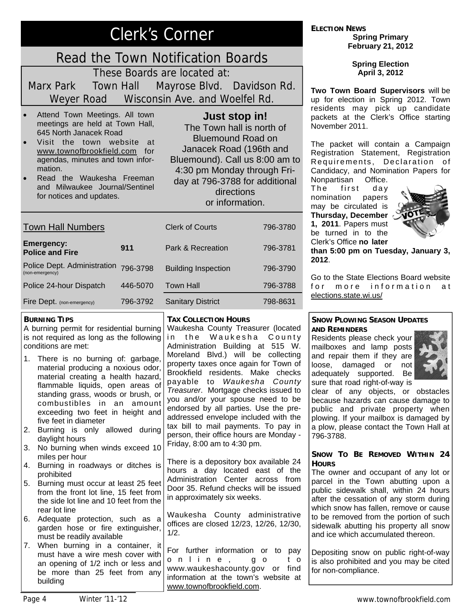# Clerk's Corner

# Read the Town Notification Boards

These Boards are located at:

Marx Park Town Hall Mayrose Blvd. Davidson Rd. Weyer Road Wisconsin Ave. and Woelfel Rd.

- Attend Town Meetings. All town meetings are held at Town Hall, 645 North Janacek Road
- Visit the town website at www.townofbrookfield.com for agendas, minutes and town information.
- Read the Waukesha Freeman and Milwaukee Journal/Sentinel for notices and updates.

#### **Just stop in!**

The Town hall is north of Bluemound Road on Janacek Road (196th and Bluemound). Call us 8:00 am to 4:30 pm Monday through Friday at 796-3788 for additional directions or information.

| <b>Town Hall Numbers</b>                       |          | <b>Clerk of Courts</b>     | 796-3780 |
|------------------------------------------------|----------|----------------------------|----------|
| <b>Emergency:</b><br><b>Police and Fire</b>    | 911      | Park & Recreation          | 796-3781 |
| Police Dept. Administration<br>(non-emergency) | 796-3798 | <b>Building Inspection</b> | 796-3790 |
| Police 24-hour Dispatch                        | 446-5070 | <b>Town Hall</b>           | 796-3788 |
| Fire Dept. (non-emergency)                     | 796-3792 | <b>Sanitary District</b>   | 798-8631 |

#### **BURNING TIPS**

A burning permit for residential burning is not required as long as the following conditions are met:

- 1. There is no burning of: garbage, material producing a noxious odor, material creating a health hazard, flammable liquids, open areas of standing grass, woods or brush, or combustibles in an amount exceeding two feet in height and five feet in diameter
- 2. Burning is only allowed during daylight hours
- 3. No burning when winds exceed 10 miles per hour
- 4. Burning in roadways or ditches is prohibited
- 5. Burning must occur at least 25 feet from the front lot line, 15 feet from the side lot line and 10 feet from the rear lot line
- 6. Adequate protection, such as a garden hose or fire extinguisher, must be readily available
- 7. When burning in a container, it must have a wire mesh cover with an opening of 1/2 inch or less and be more than 25 feet from any building

#### **TAX COLLECTION HOURS**

Waukesha County Treasurer (located in the Waukesha County Administration Building at 515 W. Moreland Blvd.) will be collecting property taxes once again for Town of Brookfield residents. Make checks payable to *Waukesha County Treasurer*. Mortgage checks issued to you and/or your spouse need to be endorsed by all parties. Use the preaddressed envelope included with the tax bill to mail payments. To pay in person, their office hours are Monday - Friday, 8:00 am to 4:30 pm.

There is a depository box available 24 hours a day located east of the Administration Center across from Door 35. Refund checks will be issued in approximately six weeks.

Waukesha County administrative offices are closed 12/23, 12/26, 12/30, 1/2.

For further information or to pay o n l i n e , g o t o www.waukeshacounty.gov or find information at the town's website at www.townofbrookfield.com.

**ELECTION NEWS Spring Primary February 21, 2012** 

> **Spring Election April 3, 2012**

**Two Town Board Supervisors** will be up for election in Spring 2012. Town residents may pick up candidate packets at the Clerk's Office starting November 2011.

The packet will contain a Campaign Registration Statement, Registration Requirements, Declaration of Candidacy, and Nomination Papers for Nonpartisan Office.

The first day nomination papers may be circulated is **Thursday, December 1, 2011**. Papers must be turned in to the Clerk's Office **no later** 



**than 5:00 pm on Tuesday, January 3, 2012**.

Go to the State Elections Board website for more information at elections.state.wi.us/

#### **SNOW PLOWING SEASON UPDATES AND REMINDERS**

Residents please check your mailboxes and lamp posts and repair them if they are loose, damaged or not adequately supported. Be sure that road right-of-way is



clear of any objects, or obstacles because hazards can cause damage to public and private property when plowing. If your mailbox is damaged by a plow, please contact the Town Hall at 796-3788.

#### **SNOW TO BE REMOVED WITHIN 24 HOURS**

The owner and occupant of any lot or parcel in the Town abutting upon a public sidewalk shall, within 24 hours after the cessation of any storm during which snow has fallen, remove or cause to be removed from the portion of such sidewalk abutting his property all snow and ice which accumulated thereon.

Depositing snow on public right-of-way is also prohibited and you may be cited for non-compliance.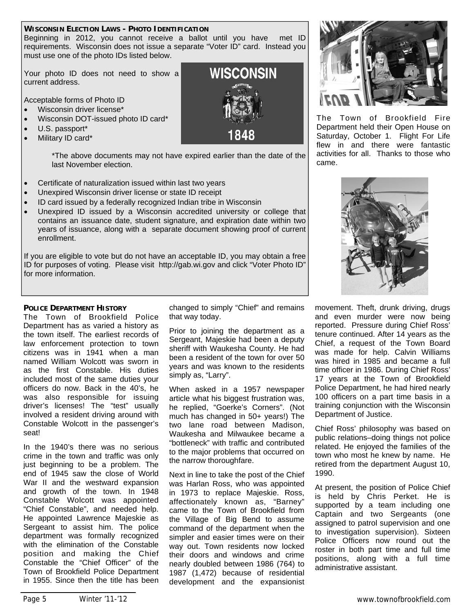#### **WISCONSIN ELECTION LAWS - PHOTO IDENTIFICATION**

Beginning in 2012, you cannot receive a ballot until you have met ID requirements. Wisconsin does not issue a separate "Voter ID" card. Instead you must use one of the photo IDs listed below.

Your photo ID does not need to show a current address.

Acceptable forms of Photo ID

- Wisconsin driver license\*
- Wisconsin DOT-issued photo ID card\*
- U.S. passport\*
- Military ID card\*

\*The above documents may not have expired earlier than the date of the last November election.

- Certificate of naturalization issued within last two years
- Unexpired Wisconsin driver license or state ID receipt
- ID card issued by a federally recognized Indian tribe in Wisconsin
- Unexpired ID issued by a Wisconsin accredited university or college that contains an issuance date, student signature, and expiration date within two years of issuance, along with a separate document showing proof of current enrollment.

If you are eligible to vote but do not have an acceptable ID, you may obtain a free ID for purposes of voting. Please visit http://gab.wi.gov and click "Voter Photo ID" for more information.

#### **POLICE DEPARTMENT HISTORY**

The Town of Brookfield Police Department has as varied a history as the town itself. The earliest records of law enforcement protection to town citizens was in 1941 when a man named William Wolcott was sworn in as the first Constable. His duties included most of the same duties your officers do now. Back in the 40's, he was also responsible for issuing driver's licenses! The "test" usually involved a resident driving around with Constable Wolcott in the passenger's seat!

In the 1940's there was no serious crime in the town and traffic was only just beginning to be a problem. The end of 1945 saw the close of World War II and the westward expansion and growth of the town. In 1948 Constable Wolcott was appointed "Chief Constable", and needed help. He appointed Lawrence Majeskie as Sergeant to assist him. The police department was formally recognized with the elimination of the Constable position and making the Chief Constable the "Chief Officer" of the Town of Brookfield Police Department in 1955. Since then the title has been

changed to simply "Chief" and remains that way today.

Prior to joining the department as a Sergeant, Majeskie had been a deputy sheriff with Waukesha County. He had been a resident of the town for over 50 years and was known to the residents simply as, "Larry".

When asked in a 1957 newspaper article what his biggest frustration was, he replied, "Goerke's Corners". (Not much has changed in 50+ years!) The two lane road between Madison, Waukesha and Milwaukee became a "bottleneck" with traffic and contributed to the major problems that occurred on the narrow thoroughfare.

Next in line to take the post of the Chief was Harlan Ross, who was appointed in 1973 to replace Majeskie. Ross, affectionately known as, "Barney" came to the Town of Brookfield from the Village of Big Bend to assume command of the department when the simpler and easier times were on their way out. Town residents now locked their doors and windows and crime nearly doubled between 1986 (764) to 1987 (1,472) because of residential development and the expansionist



The Town of Brookfield Fire Department held their Open House on Saturday, October 1. Flight For Life flew in and there were fantastic activities for all. Thanks to those who came.



movement. Theft, drunk driving, drugs and even murder were now being reported. Pressure during Chief Ross' tenure continued. After 14 years as the Chief, a request of the Town Board was made for help. Calvin Williams was hired in 1985 and became a full time officer in 1986. During Chief Ross' 17 years at the Town of Brookfield Police Department, he had hired nearly 100 officers on a part time basis in a training conjunction with the Wisconsin Department of Justice.

Chief Ross' philosophy was based on public relations–doing things not police related. He enjoyed the families of the town who most he knew by name. He retired from the department August 10, 1990.

At present, the position of Police Chief is held by Chris Perket. He is supported by a team including one Captain and two Sergeants (one assigned to patrol supervision and one to investigation supervision). Sixteen Police Officers now round out the roster in both part time and full time positions, along with a full time administrative assistant.